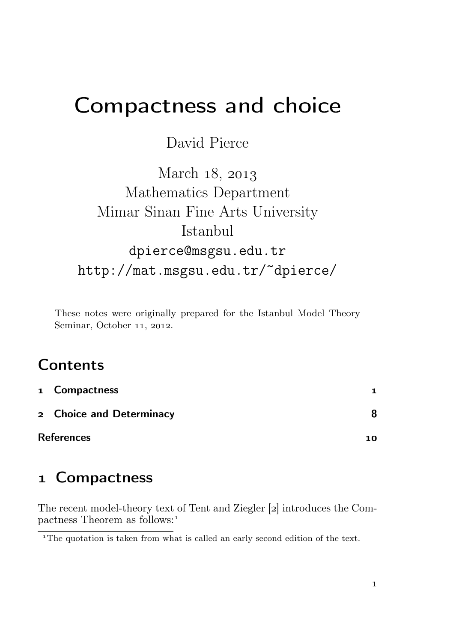# Compactness and choice

#### David Pierce

March 18, 2013 Mathematics Department Mimar Sinan Fine Arts University Istanbul dpierce@msgsu.edu.tr http://mat.msgsu.edu.tr/~dpierce/

These notes were originally prepared for the Istanbul Model Theory Seminar, October 11, 2012.

## **Contents**

|                   | 1 Compactness            | 1   |
|-------------------|--------------------------|-----|
|                   | 2 Choice and Determinacy |     |
| <b>References</b> |                          | 1 ດ |

### Compactness

The recent model-theory text of Tent and Ziegler [2] introduces the Compactness Theorem as follows:

<sup>&</sup>lt;sup>1</sup>The quotation is taken from what is called an early second edition of the text.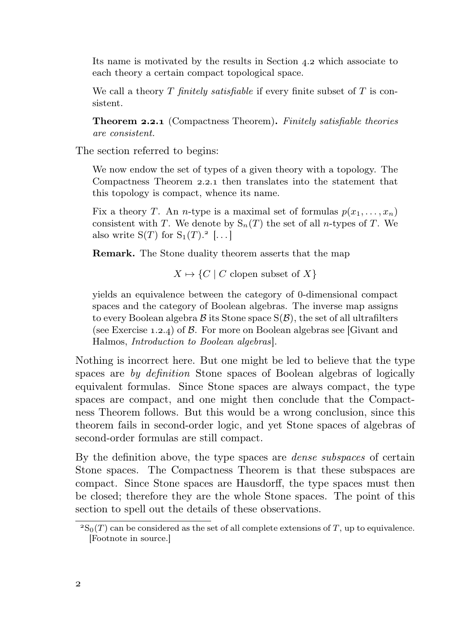Its name is motivated by the results in Section  $4.2$  which associate to each theory a certain compact topological space.

We call a theory  $T$  finitely satisfiable if every finite subset of  $T$  is consistent.

Theorem 2.2.1 (Compactness Theorem). Finitely satisfiable theories are consistent.

The section referred to begins:

We now endow the set of types of a given theory with a topology. The Compactness Theorem 2.2.1 then translates into the statement that this topology is compact, whence its name.

Fix a theory T. An *n*-type is a maximal set of formulas  $p(x_1, \ldots, x_n)$ consistent with T. We denote by  $S_n(T)$  the set of all *n*-types of T. We also write  $S(T)$  for  $S_1(T)$ .<sup>2</sup> [...]

Remark. The Stone duality theorem asserts that the map

 $X \mapsto \{C \mid C \text{ clopen subset of } X\}$ 

yields an equivalence between the category of 0-dimensional compact spaces and the category of Boolean algebras. The inverse map assigns to every Boolean algebra  $\beta$  its Stone space  $S(\beta)$ , the set of all ultrafilters (see Exercise 1.2.4) of  $\beta$ . For more on Boolean algebras see [Givant and Halmos, Introduction to Boolean algebras].

Nothing is incorrect here. But one might be led to believe that the type spaces are by definition Stone spaces of Boolean algebras of logically equivalent formulas. Since Stone spaces are always compact, the type spaces are compact, and one might then conclude that the Compactness Theorem follows. But this would be a wrong conclusion, since this theorem fails in second-order logic, and yet Stone spaces of algebras of second-order formulas are still compact.

By the definition above, the type spaces are dense subspaces of certain Stone spaces. The Compactness Theorem is that these subspaces are compact. Since Stone spaces are Hausdorff, the type spaces must then be closed; therefore they are the whole Stone spaces. The point of this section to spell out the details of these observations.

 ${}^{2}S_{0}(T)$  can be considered as the set of all complete extensions of T, up to equivalence. [Footnote in source.]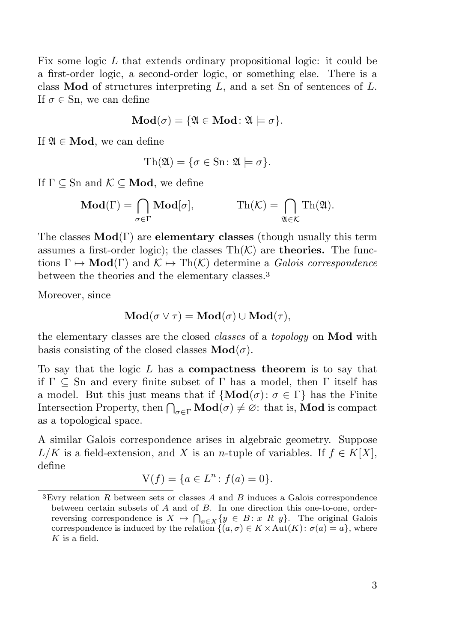Fix some logic L that extends ordinary propositional logic: it could be a first-order logic, a second-order logic, or something else. There is a class **Mod** of structures interpreting  $L$ , and a set Sn of sentences of  $L$ . If  $\sigma \in \mathop{\mathrm{Sn}}\nolimits$ , we can define

$$
\mathbf{Mod}(\sigma) = \{ \mathfrak{A} \in \mathbf{Mod} \colon \mathfrak{A} \models \sigma \}.
$$

If  $\mathfrak{A} \in \mathbf{Mod}$ , we can define

$$
\mathrm{Th}(\mathfrak{A}) = \{ \sigma \in \mathrm{Sn} \colon \mathfrak{A} \models \sigma \}.
$$

If  $\Gamma \subset \text{Sn}$  and  $\mathcal{K} \subset \textbf{Mod}$ , we define

$$
\mathbf{Mod}(\Gamma) = \bigcap_{\sigma \in \Gamma} \mathbf{Mod}[\sigma], \qquad \qquad \mathrm{Th}(\mathcal{K}) = \bigcap_{\mathfrak{A} \in \mathcal{K}} \mathrm{Th}(\mathfrak{A}).
$$

The classes  $Mod(\Gamma)$  are **elementary classes** (though usually this term assumes a first-order logic); the classes  $\text{Th}(\mathcal{K})$  are **theories.** The functions  $\Gamma \mapsto \text{Mod}(\Gamma)$  and  $\mathcal{K} \mapsto \text{Th}(\mathcal{K})$  determine a *Galois correspondence* between the theories and the elementary classes.

Moreover, since

$$
\mathbf{Mod}(\sigma \vee \tau) = \mathbf{Mod}(\sigma) \cup \mathbf{Mod}(\tau),
$$

the elementary classes are the closed classes of a topology on Mod with basis consisting of the closed classes  $\text{Mod}(\sigma)$ .

To say that the logic  $L$  has a **compactness theorem** is to say that if  $\Gamma \subset \text{Sn}$  and every finite subset of  $\Gamma$  has a model, then  $\Gamma$  itself has a model. But this just means that if  $\{Mod(\sigma): \sigma \in \Gamma\}$  has the Finite Intersection Property, then  $\bigcap_{\sigma \in \Gamma} \mathbf{Mod}(\sigma) \neq \emptyset$ : that is, **Mod** is compact as a topological space.

A similar Galois correspondence arises in algebraic geometry. Suppose  $L/K$  is a field-extension, and X is an n-tuple of variables. If  $f \in K[X]$ , define

$$
V(f) = \{ a \in L^n : f(a) = 0 \}.
$$

<sup>&</sup>lt;sup>3</sup>Evry relation  $R$  between sets or classes  $A$  and  $B$  induces a Galois correspondence between certain subsets of A and of B. In one direction this one-to-one, orderreversing correspondence is  $X \mapsto \bigcap_{x \in X} \{y \in B : x \in R \}$ . The original Galois correspondence is induced by the relation  $\{(a, \sigma) \in K \times \text{Aut}(K): \sigma(a) = a\}$ , where  $K$  is a field.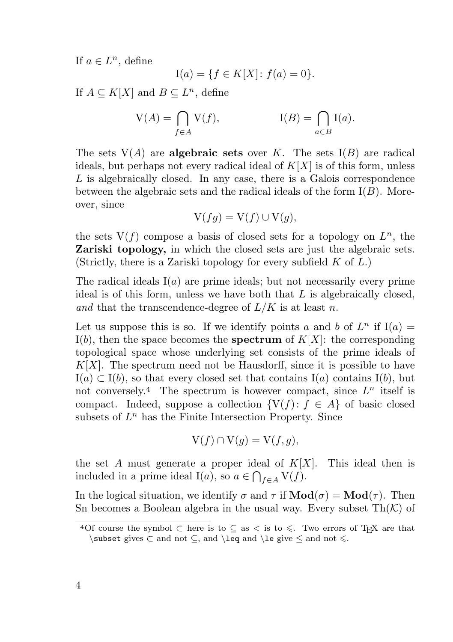If  $a \in L^n$ , define

$$
I(a) = \{ f \in K[X] \colon f(a) = 0 \}.
$$

If  $A \subseteq K[X]$  and  $B \subseteq L^n$ , define

$$
V(A) = \bigcap_{f \in A} V(f), \qquad I(B) = \bigcap_{a \in B} I(a).
$$

The sets  $V(A)$  are **algebraic sets** over K. The sets  $I(B)$  are radical ideals, but perhaps not every radical ideal of  $K[X]$  is of this form, unless L is algebraically closed. In any case, there is a Galois correspondence between the algebraic sets and the radical ideals of the form  $I(B)$ . Moreover, since

$$
V(fg) = V(f) \cup V(g),
$$

the sets  $V(f)$  compose a basis of closed sets for a topology on  $L<sup>n</sup>$ , the Zariski topology, in which the closed sets are just the algebraic sets. (Strictly, there is a Zariski topology for every subfield  $K$  of  $L$ .)

The radical ideals  $I(a)$  are prime ideals; but not necessarily every prime ideal is of this form, unless we have both that  $L$  is algebraically closed, and that the transcendence-degree of  $L/K$  is at least n.

Let us suppose this is so. If we identify points a and b of  $L^n$  if  $I(a) =$ I(b), then the space becomes the **spectrum** of  $K[X]$ : the corresponding topological space whose underlying set consists of the prime ideals of  $K[X]$ . The spectrum need not be Hausdorff, since it is possible to have  $I(a) \subset I(b)$ , so that every closed set that contains  $I(a)$  contains  $I(b)$ , but not conversely.<sup>4</sup> The spectrum is however compact, since  $L^n$  itself is compact. Indeed, suppose a collection  $\{V(f): f \in A\}$  of basic closed subsets of  $L^n$  has the Finite Intersection Property. Since

$$
V(f) \cap V(g) = V(f, g),
$$

the set A must generate a proper ideal of  $K[X]$ . This ideal then is included in a prime ideal I(*a*), so  $a \in \bigcap_{f \in A} V(f)$ .

In the logical situation, we identify  $\sigma$  and  $\tau$  if  $\mathbf{Mod}(\sigma) = \mathbf{Mod}(\tau)$ . Then Sn becomes a Boolean algebra in the usual way. Every subset  $Th(K)$  of

<sup>&</sup>lt;sup>4</sup>Of course the symbol ⊂ here is to ⊆ as < is to  $\leq$ . Two errors of T<sub>E</sub>X are that  $\subset$  gives  $\subset$  and not  $\subseteq$ , and  $\leq$  and  $\leq$  and not  $\leq$ .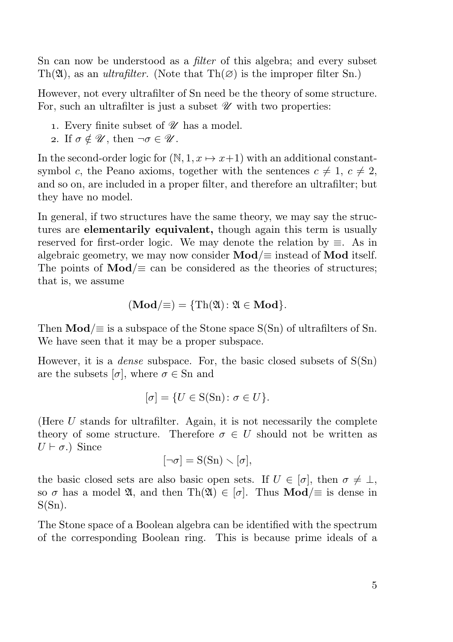Sn can now be understood as a *filter* of this algebra; and every subset Th( $\mathfrak{A}$ ), as an *ultrafilter*. (Note that Th $(\emptyset)$ ) is the improper filter Sn.)

However, not every ultrafilter of Sn need be the theory of some structure. For, such an ultrafilter is just a subset  $\mathscr U$  with two properties:

- 1. Every finite subset of  $\mathscr U$  has a model.
- 2. If  $\sigma \notin \mathscr{U}$ , then  $\neg \sigma \in \mathscr{U}$ .

In the second-order logic for  $(N, 1, x \mapsto x+1)$  with an additional constantsymbol c, the Peano axioms, together with the sentences  $c \neq 1, c \neq 2$ , and so on, are included in a proper filter, and therefore an ultrafilter; but they have no model.

In general, if two structures have the same theory, we may say the structures are elementarily equivalent, though again this term is usually reserved for first-order logic. We may denote the relation by  $\equiv$ . As in algebraic geometry, we may now consider  $\text{Mod}/\equiv$  instead of  $\text{Mod}$  itself. The points of  $\text{Mod}/\equiv$  can be considered as the theories of structures; that is, we assume

$$
(\mathbf{Mod}/\equiv) = \{ \mathrm{Th}(\mathfrak{A}) : \mathfrak{A} \in \mathbf{Mod} \}.
$$

Then  $\text{Mod}/\equiv$  is a subspace of the Stone space  $S(Sn)$  of ultrafilters of Sn. We have seen that it may be a proper subspace.

However, it is a *dense* subspace. For, the basic closed subsets of  $S(Sn)$ are the subsets  $[\sigma]$ , where  $\sigma \in \text{Sn}$  and

$$
[\sigma] = \{ U \in S(\text{Sn}) \colon \sigma \in U \}.
$$

(Here  $U$  stands for ultrafilter. Again, it is not necessarily the complete theory of some structure. Therefore  $\sigma \in U$  should not be written as  $U \vdash \sigma$ .) Since

 $[\neg \sigma] = S(Sn) \setminus [\sigma],$ 

the basic closed sets are also basic open sets. If  $U \in [\sigma]$ , then  $\sigma \neq \bot$ , so  $\sigma$  has a model  $\mathfrak{A}$ , and then Th $(\mathfrak{A}) \in [\sigma]$ . Thus **Mod**/ $\equiv$  is dense in  $S(Sn)$ .

The Stone space of a Boolean algebra can be identified with the spectrum of the corresponding Boolean ring. This is because prime ideals of a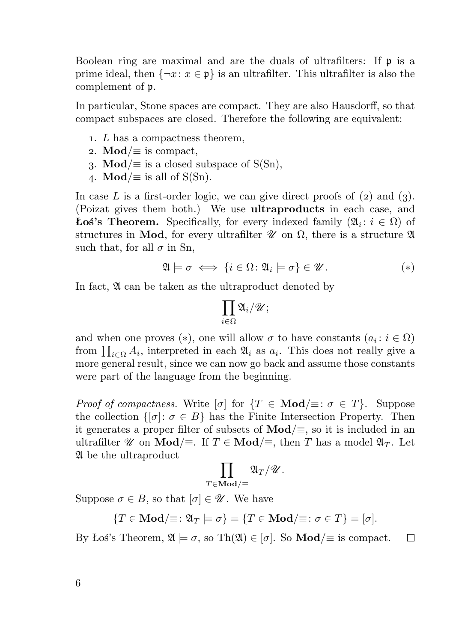Boolean ring are maximal and are the duals of ultrafilters: If p is a prime ideal, then  $\{\neg x: x \in \mathfrak{p}\}\$ is an ultrafilter. This ultrafilter is also the complement of p.

In particular, Stone spaces are compact. They are also Hausdorff, so that compact subspaces are closed. Therefore the following are equivalent:

- . L has a compactness theorem,
- 2. Mod/ $\equiv$  is compact,
- 3. Mod/ $\equiv$  is a closed subspace of S(Sn),
- 4. **Mod**/ $\equiv$  is all of S(Sn).

In case L is a first-order logic, we can give direct proofs of  $(z)$  and  $(z)$ . (Poizat gives them both.) We use ultraproducts in each case, and **Łoś's Theorem.** Specifically, for every indexed family  $(\mathfrak{A}_i : i \in \Omega)$  of structures in Mod, for every ultrafilter  $\mathscr U$  on  $\Omega$ , there is a structure  $\mathfrak A$ such that, for all  $\sigma$  in Sn,

$$
\mathfrak{A} \models \sigma \iff \{i \in \Omega \colon \mathfrak{A}_i \models \sigma\} \in \mathscr{U}.\tag{*}
$$

In fact,  $\mathfrak A$  can be taken as the ultraproduct denoted by

$$
\prod_{i\in\Omega}\mathfrak{A}_i/\mathscr{U};
$$

and when one proves (\*), one will allow  $\sigma$  to have constants  $(a_i : i \in \Omega)$ from  $\prod_{i\in\Omega} A_i$ , interpreted in each  $\mathfrak{A}_i$  as  $a_i$ . This does not really give a more general result, since we can now go back and assume those constants were part of the language from the beginning.

Proof of compactness. Write  $[\sigma]$  for  $\{T \in \mathbf{Mod}\} \equiv : \sigma \in T\}$ . Suppose the collection  $\{[\sigma]: \sigma \in B\}$  has the Finite Intersection Property. Then it generates a proper filter of subsets of  $\text{Mod}/\equiv$ , so it is included in an ultrafilter  $\mathscr U$  on **Mod**/ $\equiv$ . If  $T \in \mathbf{Mod}/\equiv$ , then T has a model  $\mathfrak{A}_T$ . Let A be the ultraproduct

$$
\prod_{\forall \in {\bf{Mod}}/\equiv} {\mathfrak{A}}_T/{\mathscr{U}}.
$$

Suppose  $\sigma \in B$ , so that  $[\sigma] \in \mathscr{U}$ . We have

 $T$ 

 ${T \in Mod/\equiv : \mathfrak{A}_T \models \sigma} = {T \in Mod/\equiv : \sigma \in T} = [\sigma].$ 

By Łoś's Theorem,  $\mathfrak{A} \models \sigma$ , so Th $(\mathfrak{A}) \in [\sigma]$ . So **Mod**/ $\equiv$  is compact. П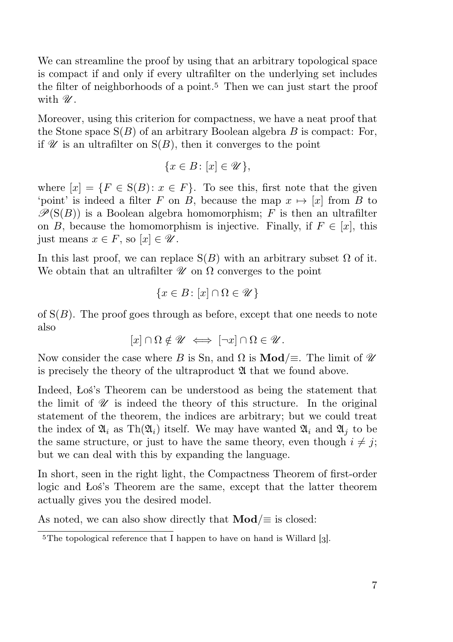We can streamline the proof by using that an arbitrary topological space is compact if and only if every ultrafilter on the underlying set includes the filter of neighborhoods of a point.<sup>5</sup> Then we can just start the proof with  $\mathscr{U}$ .

Moreover, using this criterion for compactness, we have a neat proof that the Stone space  $S(B)$  of an arbitrary Boolean algebra B is compact: For, if  $\mathscr U$  is an ultrafilter on  $S(B)$ , then it converges to the point

$$
\{x \in B \colon [x] \in \mathscr{U}\},\
$$

where  $[x] = \{F \in S(B) : x \in F\}$ . To see this, first note that the given 'point' is indeed a filter F on B, because the map  $x \mapsto [x]$  from B to  $\mathscr{P}(S(B))$  is a Boolean algebra homomorphism; F is then an ultrafilter on B, because the homomorphism is injective. Finally, if  $F \in [x]$ , this just means  $x \in F$ , so  $[x] \in \mathscr{U}$ .

In this last proof, we can replace  $S(B)$  with an arbitrary subset  $\Omega$  of it. We obtain that an ultrafilter  $\mathscr U$  on  $\Omega$  converges to the point

$$
\{x\in B\colon [x]\cap\Omega\in\mathscr{U}\}
$$

of  $S(B)$ . The proof goes through as before, except that one needs to note also

 $[x] \cap \Omega \notin \mathscr{U} \iff [\neg x] \cap \Omega \in \mathscr{U}$ .

Now consider the case where B is Sn, and  $\Omega$  is **Mod**/ $\equiv$ . The limit of  $\mathcal{U}$ is precisely the theory of the ultraproduct  $\mathfrak A$  that we found above.

Indeed, Łoś's Theorem can be understood as being the statement that the limit of  $\mathscr U$  is indeed the theory of this structure. In the original statement of the theorem, the indices are arbitrary; but we could treat the index of  $\mathfrak{A}_i$  as Th $(\mathfrak{A}_i)$  itself. We may have wanted  $\mathfrak{A}_i$  and  $\mathfrak{A}_i$  to be the same structure, or just to have the same theory, even though  $i \neq j$ ; but we can deal with this by expanding the language.

In short, seen in the right light, the Compactness Theorem of first-order logic and Łoś's Theorem are the same, except that the latter theorem actually gives you the desired model.

As noted, we can also show directly that  $\text{Mod}/\equiv$  is closed:

<sup>&</sup>lt;sup>5</sup>The topological reference that I happen to have on hand is Willard [3].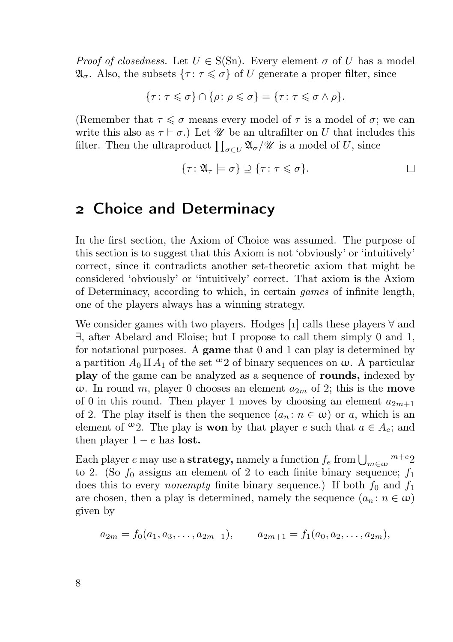*Proof of closedness.* Let  $U \in S(Sn)$ . Every element  $\sigma$  of U has a model  $\mathfrak{A}_{\sigma}$ . Also, the subsets  $\{\tau : \tau \leq \sigma\}$  of U generate a proper filter, since

$$
\{\tau \colon \tau \leqslant \sigma\} \cap \{\rho \colon \rho \leqslant \sigma\} = \{\tau \colon \tau \leqslant \sigma \wedge \rho\}.
$$

(Remember that  $\tau \leq \sigma$  means every model of  $\tau$  is a model of  $\sigma$ ; we can write this also as  $\tau \vdash \sigma$ .) Let  $\mathscr U$  be an ultrafilter on U that includes this filter. Then the ultraproduct  $\prod_{\sigma \in U} \mathfrak{A}_{\sigma} / \mathscr{U}$  is a model of U, since

$$
\{\tau \colon \mathfrak{A}_{\tau} \models \sigma\} \supseteq \{\tau \colon \tau \leqslant \sigma\}.
$$

#### Choice and Determinacy

In the first section, the Axiom of Choice was assumed. The purpose of this section is to suggest that this Axiom is not 'obviously' or 'intuitively' correct, since it contradicts another set-theoretic axiom that might be considered 'obviously' or 'intuitively' correct. That axiom is the Axiom of Determinacy, according to which, in certain games of infinite length, one of the players always has a winning strategy.

We consider games with two players. Hodges [1] calls these players  $\forall$  and ∃, after Abelard and Eloise; but I propose to call them simply 0 and 1, for notational purposes. A game that  $0$  and  $1$  can play is determined by a partition  $A_0 \amalg A_1$  of the set  $\omega_2$  of binary sequences on  $\omega$ . A particular play of the game can be analyzed as a sequence of rounds, indexed by ω. In round m, player 0 chooses an element  $a_{2m}$  of 2; this is the **move** of 0 in this round. Then player 1 moves by choosing an element  $a_{2m+1}$ of 2. The play itself is then the sequence  $(a_n : n \in \omega)$  or a, which is an element of  $\omega_2$ . The play is **won** by that player e such that  $a \in A_e$ ; and then player  $1 - e$  has lost.

Each player  $e$  may use a strategy, namely a function  $f_e$  from  $\bigcup_{m\in\omega}$   $^{m+e}$  2 to 2. (So  $f_0$  assigns an element of 2 to each finite binary sequence;  $f_1$ does this to every *nonempty* finite binary sequence.) If both  $f_0$  and  $f_1$ are chosen, then a play is determined, namely the sequence  $(a_n : n \in \omega)$ given by

$$
a_{2m} = f_0(a_1, a_3, \dots, a_{2m-1}), \qquad a_{2m+1} = f_1(a_0, a_2, \dots, a_{2m}),
$$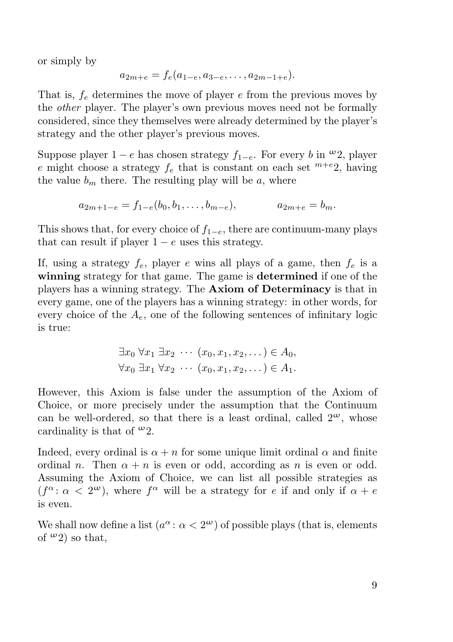or simply by

$$
a_{2m+e} = f_e(a_{1-e}, a_{3-e}, \ldots, a_{2m-1+e}).
$$

That is,  $f_e$  determines the move of player  $e$  from the previous moves by the other player. The player's own previous moves need not be formally considered, since they themselves were already determined by the player's strategy and the other player's previous moves.

Suppose player  $1 - e$  has chosen strategy  $f_{1-e}$ . For every b in  $\omega_2$ , player e might choose a strategy  $f_e$  that is constant on each set  $^{m+e}$ 2, having the value  $b_m$  there. The resulting play will be a, where

 $a_{2m+1-e} = f_{1-e}(b_0, b_1, \ldots, b_{m-e}), \qquad a_{2m+e} = b_m.$ 

This shows that, for every choice of  $f_{1-e}$ , there are continuum-many plays that can result if player  $1 - e$  uses this strategy.

If, using a strategy  $f_e$ , player e wins all plays of a game, then  $f_e$  is a winning strategy for that game. The game is determined if one of the players has a winning strategy. The Axiom of Determinacy is that in every game, one of the players has a winning strategy: in other words, for every choice of the  $A_e$ , one of the following sentences of infinitary logic is true:

$$
\exists x_0 \forall x_1 \exists x_2 \cdots (x_0, x_1, x_2, \dots) \in A_0,
$$
  

$$
\forall x_0 \exists x_1 \forall x_2 \cdots (x_0, x_1, x_2, \dots) \in A_1.
$$

However, this Axiom is false under the assumption of the Axiom of Choice, or more precisely under the assumption that the Continuum can be well-ordered, so that there is a least ordinal, called  $2^{\omega}$ , whose cardinality is that of  $\omega_2$ .

Indeed, every ordinal is  $\alpha + n$  for some unique limit ordinal  $\alpha$  and finite ordinal n. Then  $\alpha + n$  is even or odd, according as n is even or odd. Assuming the Axiom of Choice, we can list all possible strategies as  $(f^{\alpha}: \alpha < 2^{\omega})$ , where  $f^{\alpha}$  will be a strategy for e if and only if  $\alpha + e$ is even.

We shall now define a list  $(a^{\alpha}: \alpha < 2^{\omega})$  of possible plays (that is, elements of  $\omega_2$ ) so that.